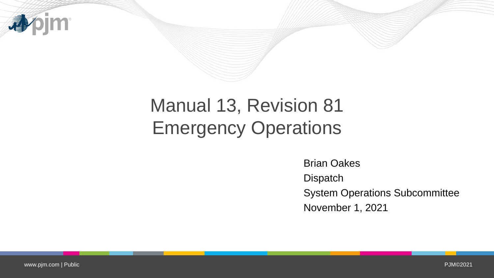

# Manual 13, Revision 81 Emergency Operations

Brian Oakes **Dispatch** System Operations Subcommittee November 1, 2021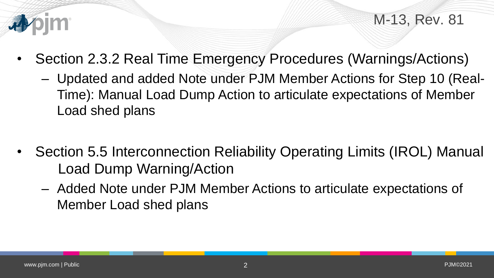

M-13, Rev. 81

- Section 2.3.2 Real Time Emergency Procedures (Warnings/Actions)
	- Updated and added Note under PJM Member Actions for Step 10 (Real-Time): Manual Load Dump Action to articulate expectations of Member Load shed plans
- Section 5.5 Interconnection Reliability Operating Limits (IROL) Manual Load Dump Warning/Action
	- Added Note under PJM Member Actions to articulate expectations of Member Load shed plans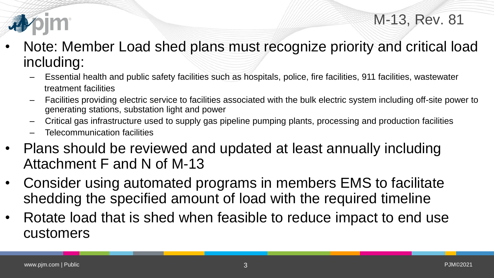

- Note: Member Load shed plans must recognize priority and critical load including:
	- Essential health and public safety facilities such as hospitals, police, fire facilities, 911 facilities, wastewater treatment facilities
	- Facilities providing electric service to facilities associated with the bulk electric system including off-site power to generating stations, substation light and power
	- Critical gas infrastructure used to supply gas pipeline pumping plants, processing and production facilities
	- Telecommunication facilities
- Plans should be reviewed and updated at least annually including Attachment F and N of M-13
- Consider using automated programs in members EMS to facilitate shedding the specified amount of load with the required timeline
- Rotate load that is shed when feasible to reduce impact to end use customers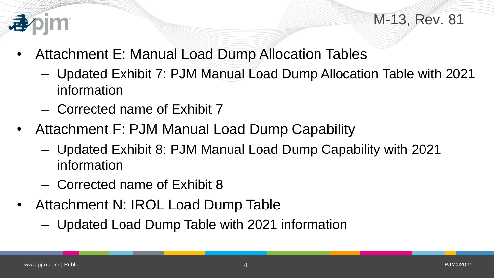

## M-13, Rev. 81

- Attachment E: Manual Load Dump Allocation Tables
	- Updated Exhibit 7: PJM Manual Load Dump Allocation Table with 2021 information
	- Corrected name of Exhibit 7
- Attachment F: PJM Manual Load Dump Capability
	- Updated Exhibit 8: PJM Manual Load Dump Capability with 2021 information
	- Corrected name of Exhibit 8
- Attachment N: IROL Load Dump Table
	- Updated Load Dump Table with 2021 information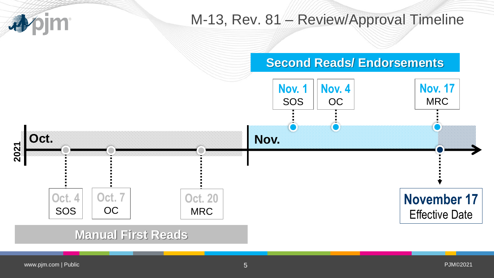